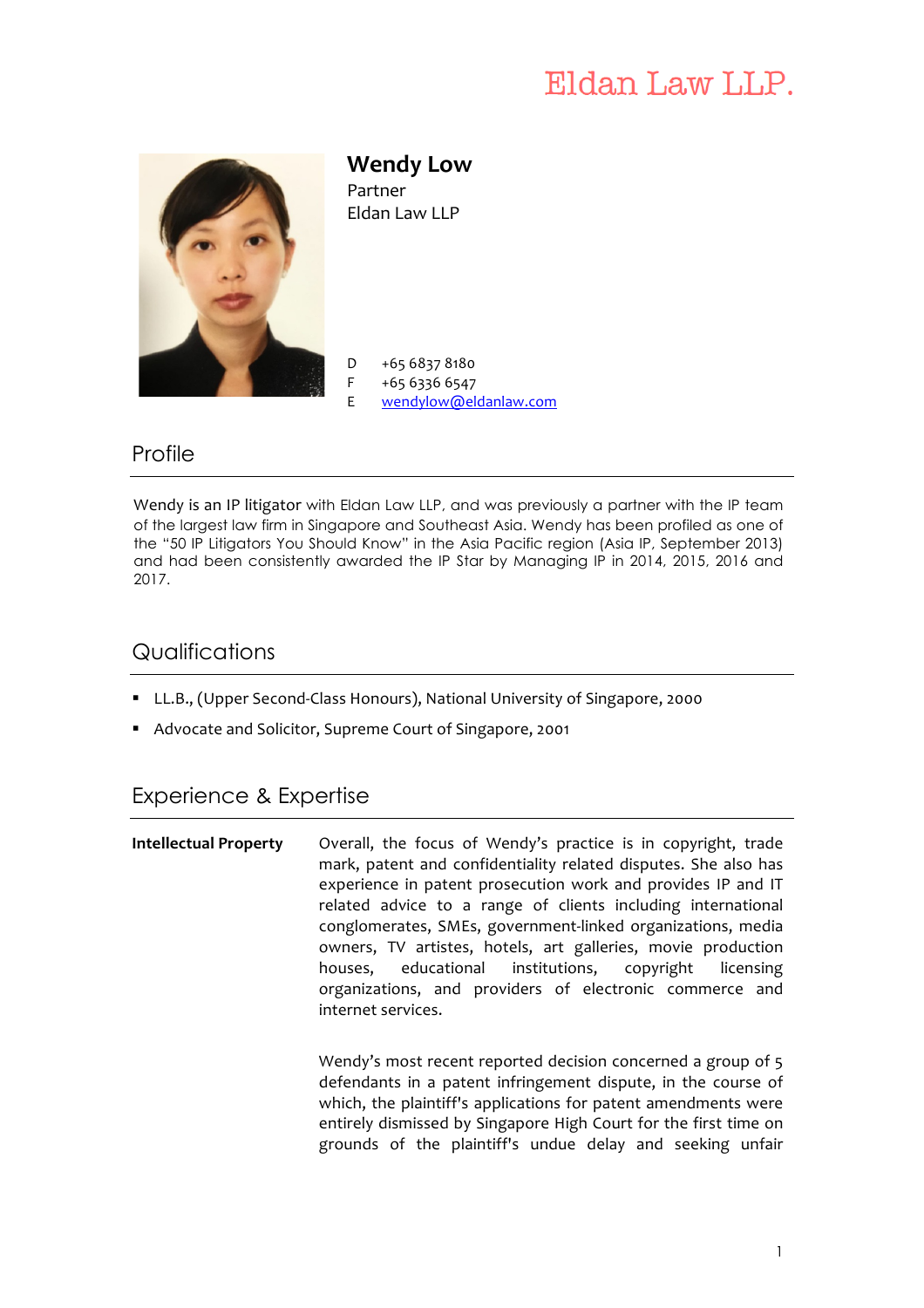# Eldan Law LLP.



**Wendy Low**  Partner Eldan Law LLP

D +65 6837 8180

- F +65 6336 6547
- E wendylow@eldanlaw.com

### **Profile**

Wendy is an IP litigator with Eldan Law LLP, and was previously a partner with the IP team of the largest law firm in Singapore and Southeast Asia. Wendy has been profiled as one of the "50 IP Litigators You Should Know" in the Asia Pacific region (Asia IP, September 2013) and had been consistently awarded the IP Star by Managing IP in 2014, 2015, 2016 and 2017.

### **Qualifications**

- LL.B., (Upper Second-Class Honours), National University of Singapore, 2000
- Advocate and Solicitor, Supreme Court of Singapore, 2001

## Experience & Expertise

**Intellectual Property** Overall, the focus of Wendy's practice is in copyright, trade mark, patent and confidentiality related disputes. She also has experience in patent prosecution work and provides IP and IT related advice to a range of clients including international conglomerates, SMEs, government-linked organizations, media owners, TV artistes, hotels, art galleries, movie production houses, educational institutions, copyright licensing organizations, and providers of electronic commerce and internet services.

> Wendy's most recent reported decision concerned a group of 5 defendants in a patent infringement dispute, in the course of which, the plaintiff's applications for patent amendments were entirely dismissed by Singapore High Court for the first time on grounds of the plaintiff's undue delay and seeking unfair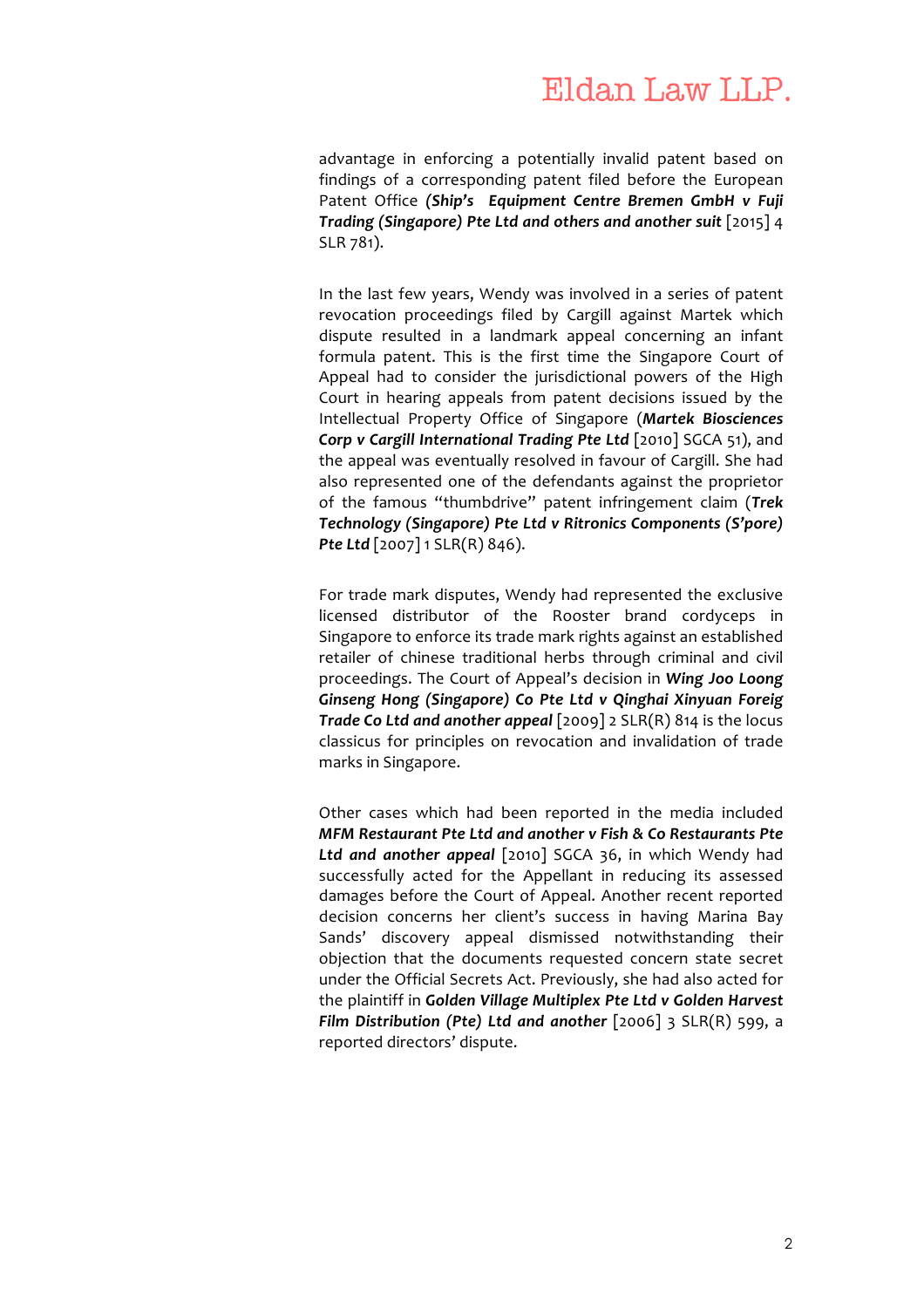advantage in enforcing a potentially invalid patent based on findings of a corresponding patent filed before the European Patent Office *(Ship's Equipment Centre Bremen GmbH v Fuji Trading (Singapore) Pte Ltd and others and another suit* [2015] 4 SLR 781).

In the last few years, Wendy was involved in a series of patent revocation proceedings filed by Cargill against Martek which dispute resulted in a landmark appeal concerning an infant formula patent. This is the first time the Singapore Court of Appeal had to consider the jurisdictional powers of the High Court in hearing appeals from patent decisions issued by the Intellectual Property Office of Singapore (*Martek Biosciences Corp v Cargill International Trading Pte Ltd* [2010] SGCA 51), and the appeal was eventually resolved in favour of Cargill. She had also represented one of the defendants against the proprietor of the famous "thumbdrive" patent infringement claim (*Trek Technology (Singapore) Pte Ltd v Ritronics Components (S'pore)*  **Pte Ltd** [2007] 1 SLR(R) 846).

For trade mark disputes, Wendy had represented the exclusive licensed distributor of the Rooster brand cordyceps in Singapore to enforce its trade mark rights against an established retailer of chinese traditional herbs through criminal and civil proceedings. The Court of Appeal's decision in *Wing Joo Loong Ginseng Hong (Singapore) Co Pte Ltd v Qinghai Xinyuan Foreig Trade Co Ltd and another appeal* [2009] 2 SLR(R) 814 is the locus classicus for principles on revocation and invalidation of trade marks in Singapore.

Other cases which had been reported in the media included *MFM Restaurant Pte Ltd and another v Fish & Co Restaurants Pte Ltd and another appeal* [2010] SGCA 36, in which Wendy had successfully acted for the Appellant in reducing its assessed damages before the Court of Appeal. Another recent reported decision concerns her client's success in having Marina Bay Sands' discovery appeal dismissed notwithstanding their objection that the documents requested concern state secret under the Official Secrets Act. Previously, she had also acted for the plaintiff in *Golden Village Multiplex Pte Ltd v Golden Harvest Film Distribution (Pte) Ltd and another* [2006] 3 SLR(R) 599, a reported directors' dispute.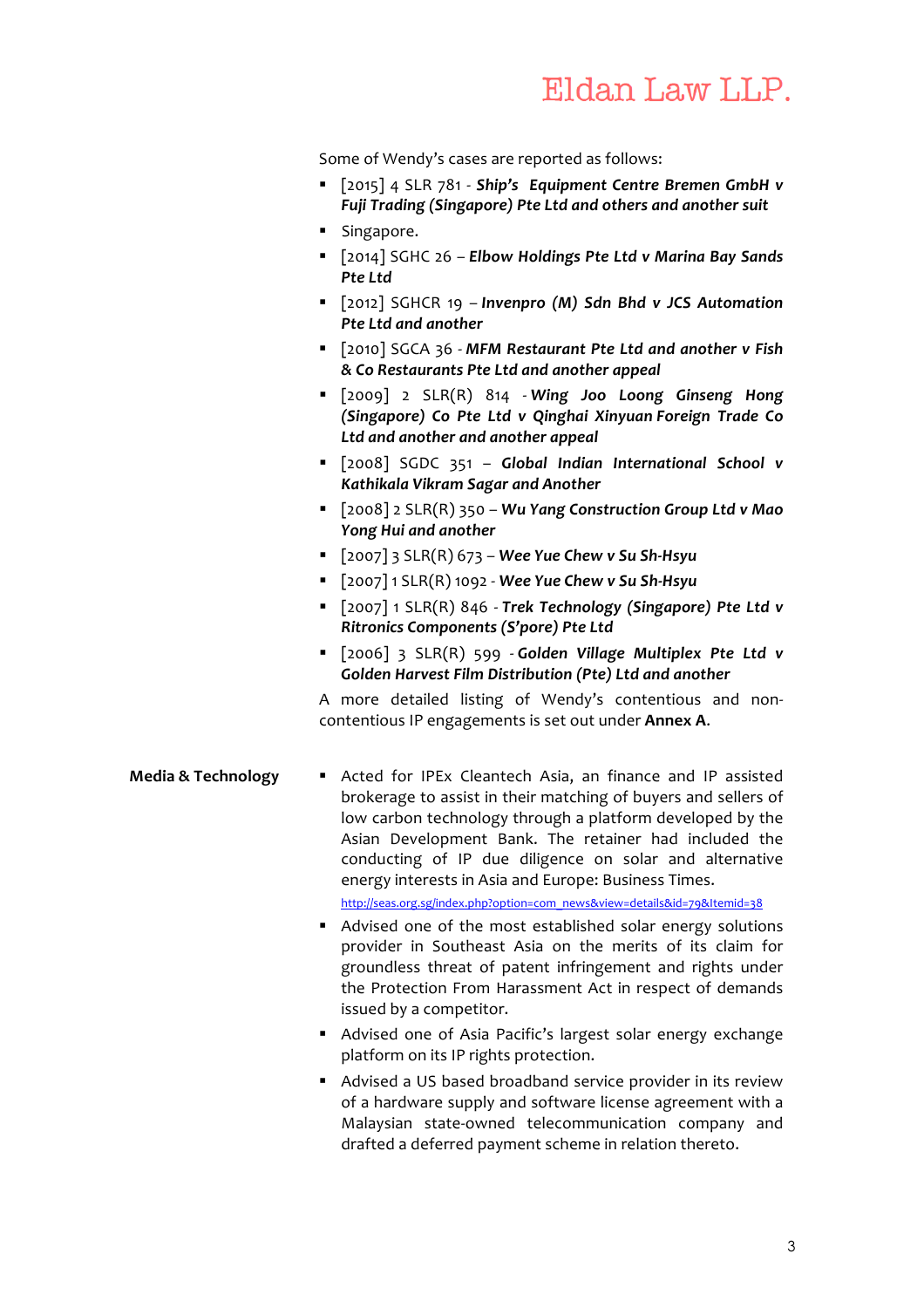Some of Wendy's cases are reported as follows:

- § [2015] 4 SLR 781 *Ship's Equipment Centre Bremen GmbH v Fuji Trading (Singapore) Pte Ltd and others and another suit*
- Singapore.
- § [2014] SGHC 26 *Elbow Holdings Pte Ltd v Marina Bay Sands Pte Ltd*
- § [2012] SGHCR 19 *Invenpro (M) Sdn Bhd v JCS Automation Pte Ltd and another*
- § [2010] SGCA 36 *MFM Restaurant Pte Ltd and another v Fish & Co Restaurants Pte Ltd and another appeal*
- § [2009] 2 SLR(R) 814 *Wing Joo Loong Ginseng Hong (Singapore) Co Pte Ltd v Qinghai Xinyuan Foreign Trade Co Ltd and another and another appeal*
- § [2008] SGDC 351 *Global Indian International School v Kathikala Vikram Sagar and Another*
- § [2008] 2 SLR(R) 350 *Wu Yang Construction Group Ltd v Mao Yong Hui and another*
- § [2007] 3 SLR(R) 673 *Wee Yue Chew v Su Sh-Hsyu*
- § [2007] 1 SLR(R) 1092 *Wee Yue Chew v Su Sh-Hsyu*
- § [2007] 1 SLR(R) 846 *Trek Technology (Singapore) Pte Ltd v Ritronics Components (S'pore) Pte Ltd*
- § [2006] 3 SLR(R) 599 *Golden Village Multiplex Pte Ltd v Golden Harvest Film Distribution (Pte) Ltd and another*

A more detailed listing of Wendy's contentious and noncontentious IP engagements is set out under **Annex A**.

- **Media & Technology •** Acted for IPEx Cleantech Asia, an finance and IP assisted brokerage to assist in their matching of buyers and sellers of low carbon technology through a platform developed by the Asian Development Bank. The retainer had included the conducting of IP due diligence on solar and alternative energy interests in Asia and Europe: Business Times. http://seas.org.sg/index.php?option=com\_news&view=details&id=79&Itemid=38
	- Advised one of the most established solar energy solutions provider in Southeast Asia on the merits of its claim for groundless threat of patent infringement and rights under the Protection From Harassment Act in respect of demands issued by a competitor.
	- Advised one of Asia Pacific's largest solar energy exchange platform on its IP rights protection.
	- Advised a US based broadband service provider in its review of a hardware supply and software license agreement with a Malaysian state-owned telecommunication company and drafted a deferred payment scheme in relation thereto.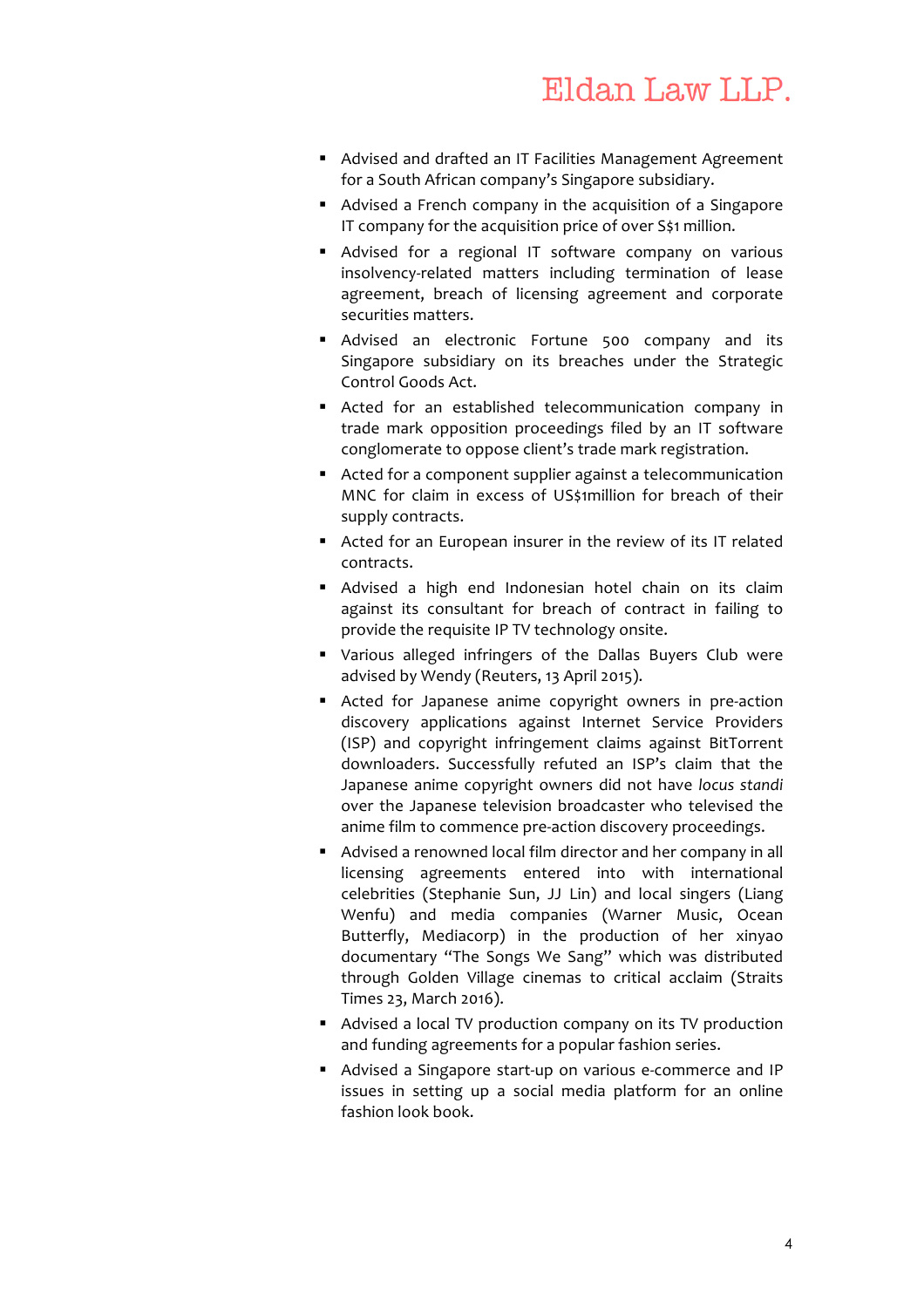- Advised and drafted an IT Facilities Management Agreement for a South African company's Singapore subsidiary.
- Advised a French company in the acquisition of a Singapore IT company for the acquisition price of over S\$1 million.
- Advised for a regional IT software company on various insolvency-related matters including termination of lease agreement, breach of licensing agreement and corporate securities matters.
- § Advised an electronic Fortune 500 company and its Singapore subsidiary on its breaches under the Strategic Control Goods Act.
- Acted for an established telecommunication company in trade mark opposition proceedings filed by an IT software conglomerate to oppose client's trade mark registration.
- Acted for a component supplier against a telecommunication MNC for claim in excess of US\$1million for breach of their supply contracts.
- Acted for an European insurer in the review of its IT related contracts.
- Advised a high end Indonesian hotel chain on its claim against its consultant for breach of contract in failing to provide the requisite IP TV technology onsite.
- § Various alleged infringers of the Dallas Buyers Club were advised by Wendy (Reuters, 13 April 2015).
- Acted for Japanese anime copyright owners in pre-action discovery applications against Internet Service Providers (ISP) and copyright infringement claims against BitTorrent downloaders. Successfully refuted an ISP's claim that the Japanese anime copyright owners did not have *locus standi* over the Japanese television broadcaster who televised the anime film to commence pre-action discovery proceedings.
- Advised a renowned local film director and her company in all licensing agreements entered into with international celebrities (Stephanie Sun, JJ Lin) and local singers (Liang Wenfu) and media companies (Warner Music, Ocean Butterfly, Mediacorp) in the production of her xinyao documentary "The Songs We Sang" which was distributed through Golden Village cinemas to critical acclaim (Straits Times 23, March 2016).
- Advised a local TV production company on its TV production and funding agreements for a popular fashion series.
- Advised a Singapore start-up on various e-commerce and IP issues in setting up a social media platform for an online fashion look book.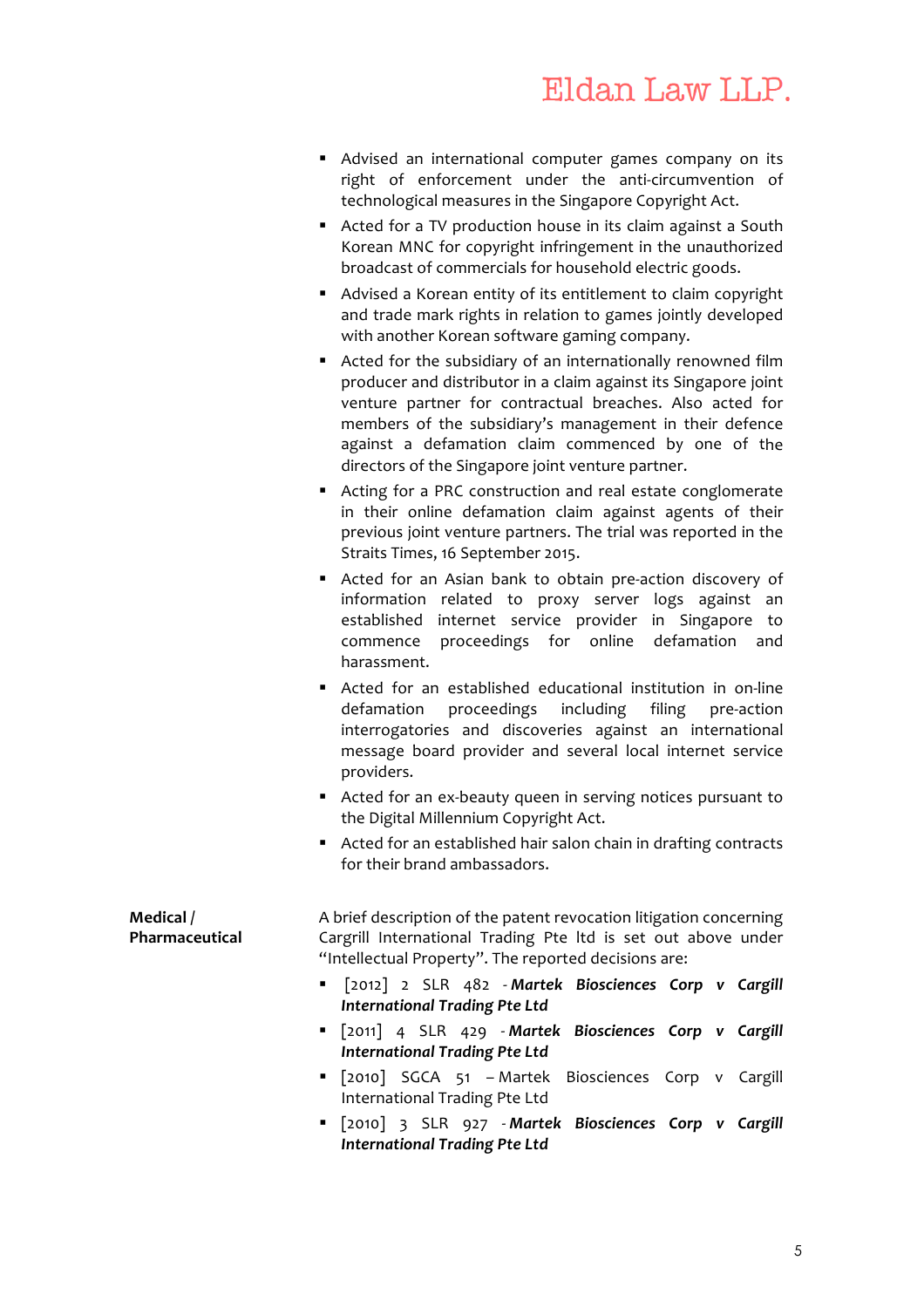- Advised an international computer games company on its right of enforcement under the anti-circumvention of technological measures in the Singapore Copyright Act.
- Acted for a TV production house in its claim against a South Korean MNC for copyright infringement in the unauthorized broadcast of commercials for household electric goods.
- § Advised a Korean entity of its entitlement to claim copyright and trade mark rights in relation to games jointly developed with another Korean software gaming company.
- Acted for the subsidiary of an internationally renowned film producer and distributor in a claim against its Singapore joint venture partner for contractual breaches. Also acted for members of the subsidiary's management in their defence against a defamation claim commenced by one of the directors of the Singapore joint venture partner.
- Acting for a PRC construction and real estate conglomerate in their online defamation claim against agents of their previous joint venture partners. The trial was reported in the Straits Times, 16 September 2015.
- Acted for an Asian bank to obtain pre-action discovery of information related to proxy server logs against an established internet service provider in Singapore to commence proceedings for online defamation and harassment.
- Acted for an established educational institution in on-line defamation proceedings including filing pre-action interrogatories and discoveries against an international message board provider and several local internet service providers.
- Acted for an ex-beauty queen in serving notices pursuant to the Digital Millennium Copyright Act.
- Acted for an established hair salon chain in drafting contracts for their brand ambassadors.

| Medical /<br>Pharmaceutical | A brief description of the patent revocation litigation concerning<br>Cargrill International Trading Pte Itd is set out above under |
|-----------------------------|-------------------------------------------------------------------------------------------------------------------------------------|
|                             | "Intellectual Property". The reported decisions are:                                                                                |
|                             | " [2012] 2 SLR 482 - Martek Biosciences Corp v Cargill<br><b>International Trading Pte Ltd</b>                                      |
|                             | " [2011] 4 SLR 429 - Martek Biosciences Corp v Cargill<br><b>International Trading Pte Ltd</b>                                      |
|                             | " [2010] SGCA 51 - Martek Biosciences Corp v Cargill<br>International Trading Pte Ltd                                               |
|                             | " [2010] 3 SLR 927 - Martek Biosciences Corp v Cargill<br><b>International Trading Pte Ltd</b>                                      |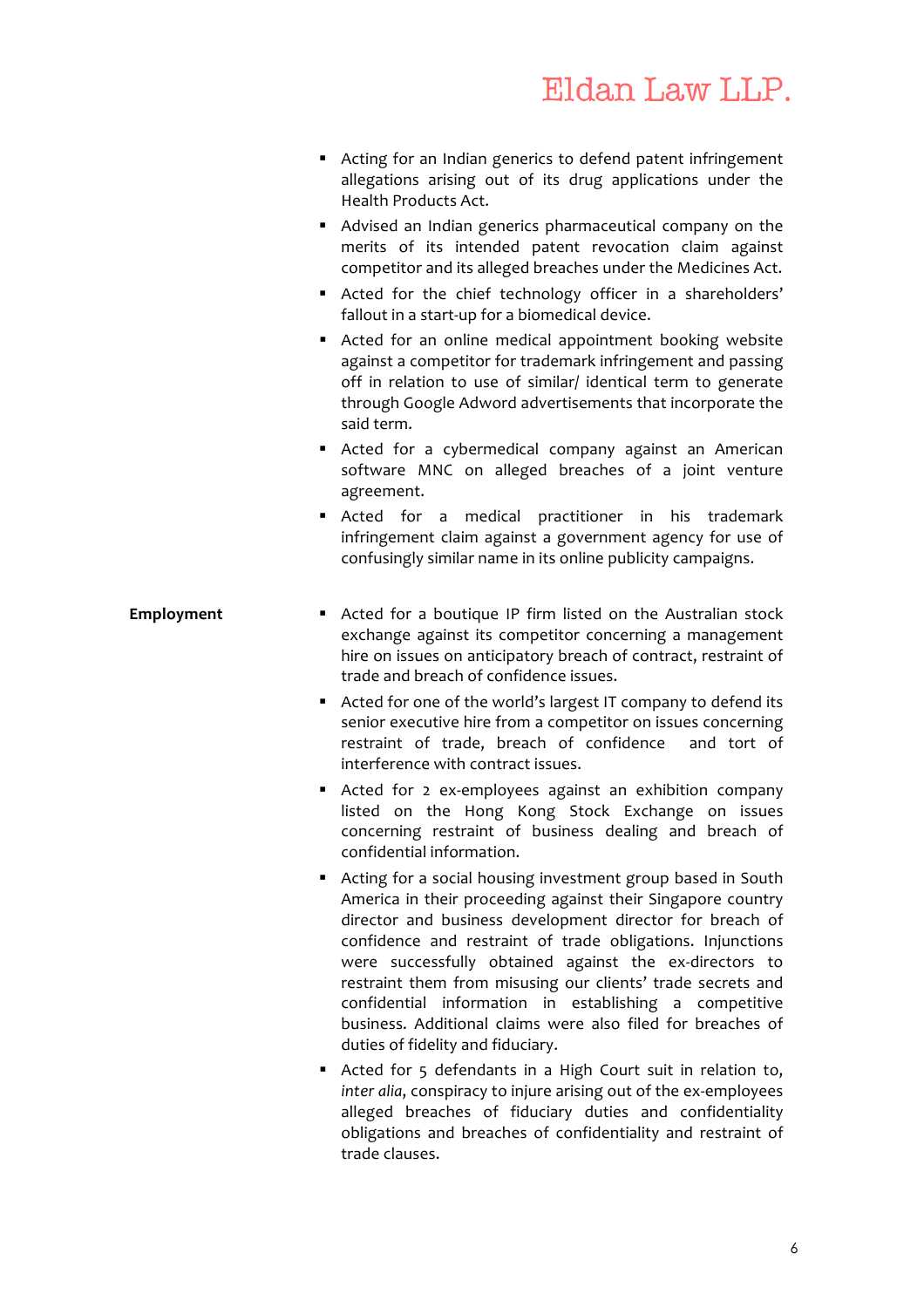- Acting for an Indian generics to defend patent infringement allegations arising out of its drug applications under the Health Products Act.
- Advised an Indian generics pharmaceutical company on the merits of its intended patent revocation claim against competitor and its alleged breaches under the Medicines Act.
- Acted for the chief technology officer in a shareholders' fallout in a start-up for a biomedical device.
- Acted for an online medical appointment booking website against a competitor for trademark infringement and passing off in relation to use of similar/ identical term to generate through Google Adword advertisements that incorporate the said term.
- Acted for a cybermedical company against an American software MNC on alleged breaches of a joint venture agreement.
- § Acted for a medical practitioner in his trademark infringement claim against a government agency for use of confusingly similar name in its online publicity campaigns.
- **Employment** Acted for a boutique IP firm listed on the Australian stock exchange against its competitor concerning a management hire on issues on anticipatory breach of contract, restraint of trade and breach of confidence issues.
	- Acted for one of the world's largest IT company to defend its senior executive hire from a competitor on issues concerning restraint of trade, breach of confidence and tort of interference with contract issues.
	- Acted for 2 ex-employees against an exhibition company listed on the Hong Kong Stock Exchange on issues concerning restraint of business dealing and breach of confidential information.
	- Acting for a social housing investment group based in South America in their proceeding against their Singapore country director and business development director for breach of confidence and restraint of trade obligations. Injunctions were successfully obtained against the ex-directors to restraint them from misusing our clients' trade secrets and confidential information in establishing a competitive business. Additional claims were also filed for breaches of duties of fidelity and fiduciary.
	- Acted for 5 defendants in a High Court suit in relation to, *inter alia*, conspiracy to injure arising out of the ex-employees alleged breaches of fiduciary duties and confidentiality obligations and breaches of confidentiality and restraint of trade clauses.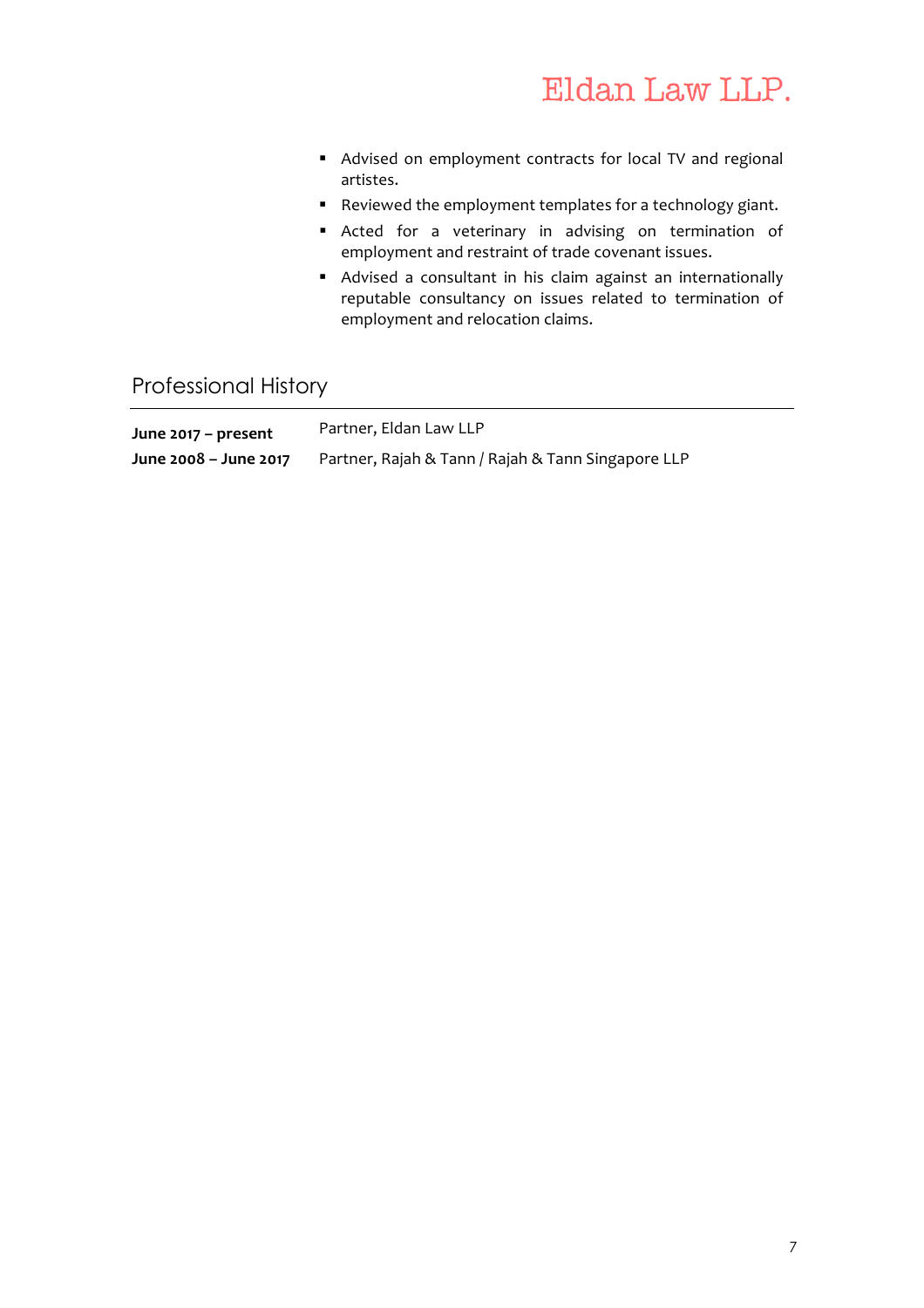- Advised on employment contracts for local TV and regional artistes.
- Reviewed the employment templates for a technology giant.
- § Acted for a veterinary in advising on termination of employment and restraint of trade covenant issues.
- Advised a consultant in his claim against an internationally reputable consultancy on issues related to termination of employment and relocation claims.

## Professional History

| June 2017 – present   | Partner, Eldan Law LLP                             |
|-----------------------|----------------------------------------------------|
| June 2008 – June 2017 | Partner, Rajah & Tann / Rajah & Tann Singapore LLP |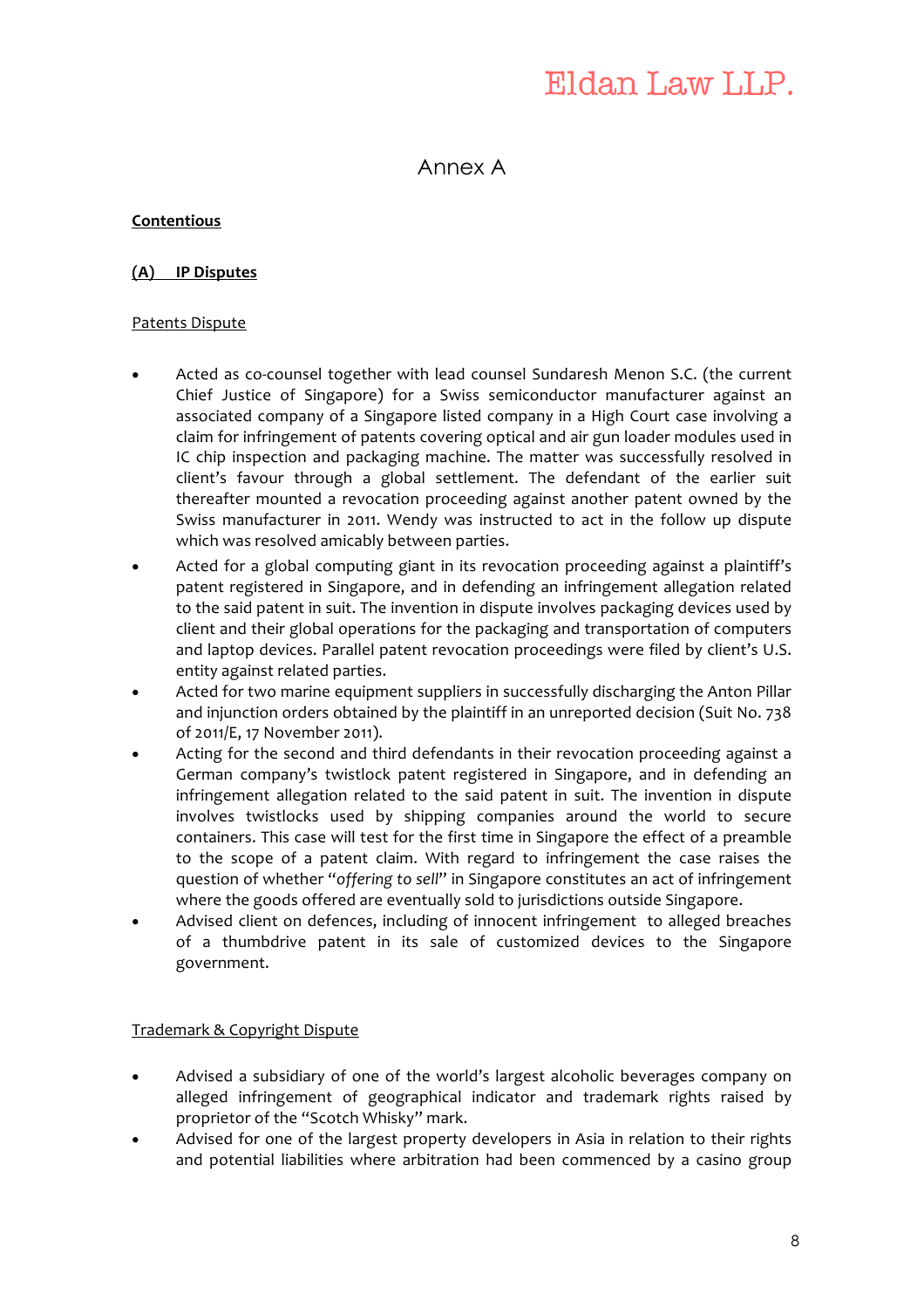## Eldan Law LLP.

Annex A

#### **Contentious**

#### **(A) IP Disputes**

#### Patents Dispute

- Acted as co-counsel together with lead counsel Sundaresh Menon S.C. (the current Chief Justice of Singapore) for a Swiss semiconductor manufacturer against an associated company of a Singapore listed company in a High Court case involving a claim for infringement of patents covering optical and air gun loader modules used in IC chip inspection and packaging machine. The matter was successfully resolved in client's favour through a global settlement. The defendant of the earlier suit thereafter mounted a revocation proceeding against another patent owned by the Swiss manufacturer in 2011. Wendy was instructed to act in the follow up dispute which was resolved amicably between parties.
- Acted for a global computing giant in its revocation proceeding against a plaintiff's patent registered in Singapore, and in defending an infringement allegation related to the said patent in suit. The invention in dispute involves packaging devices used by client and their global operations for the packaging and transportation of computers and laptop devices. Parallel patent revocation proceedings were filed by client's U.S. entity against related parties.
- Acted for two marine equipment suppliers in successfully discharging the Anton Pillar and injunction orders obtained by the plaintiff in an unreported decision (Suit No. 738 of 2011/E, 17 November 2011).
- Acting for the second and third defendants in their revocation proceeding against a German company's twistlock patent registered in Singapore, and in defending an infringement allegation related to the said patent in suit. The invention in dispute involves twistlocks used by shipping companies around the world to secure containers. This case will test for the first time in Singapore the effect of a preamble to the scope of a patent claim. With regard to infringement the case raises the question of whether "*offering to sell*" in Singapore constitutes an act of infringement where the goods offered are eventually sold to jurisdictions outside Singapore.
- Advised client on defences, including of innocent infringement to alleged breaches of a thumbdrive patent in its sale of customized devices to the Singapore government.

#### Trademark & Copyright Dispute

- Advised a subsidiary of one of the world's largest alcoholic beverages company on alleged infringement of geographical indicator and trademark rights raised by proprietor of the "Scotch Whisky" mark.
- Advised for one of the largest property developers in Asia in relation to their rights and potential liabilities where arbitration had been commenced by a casino group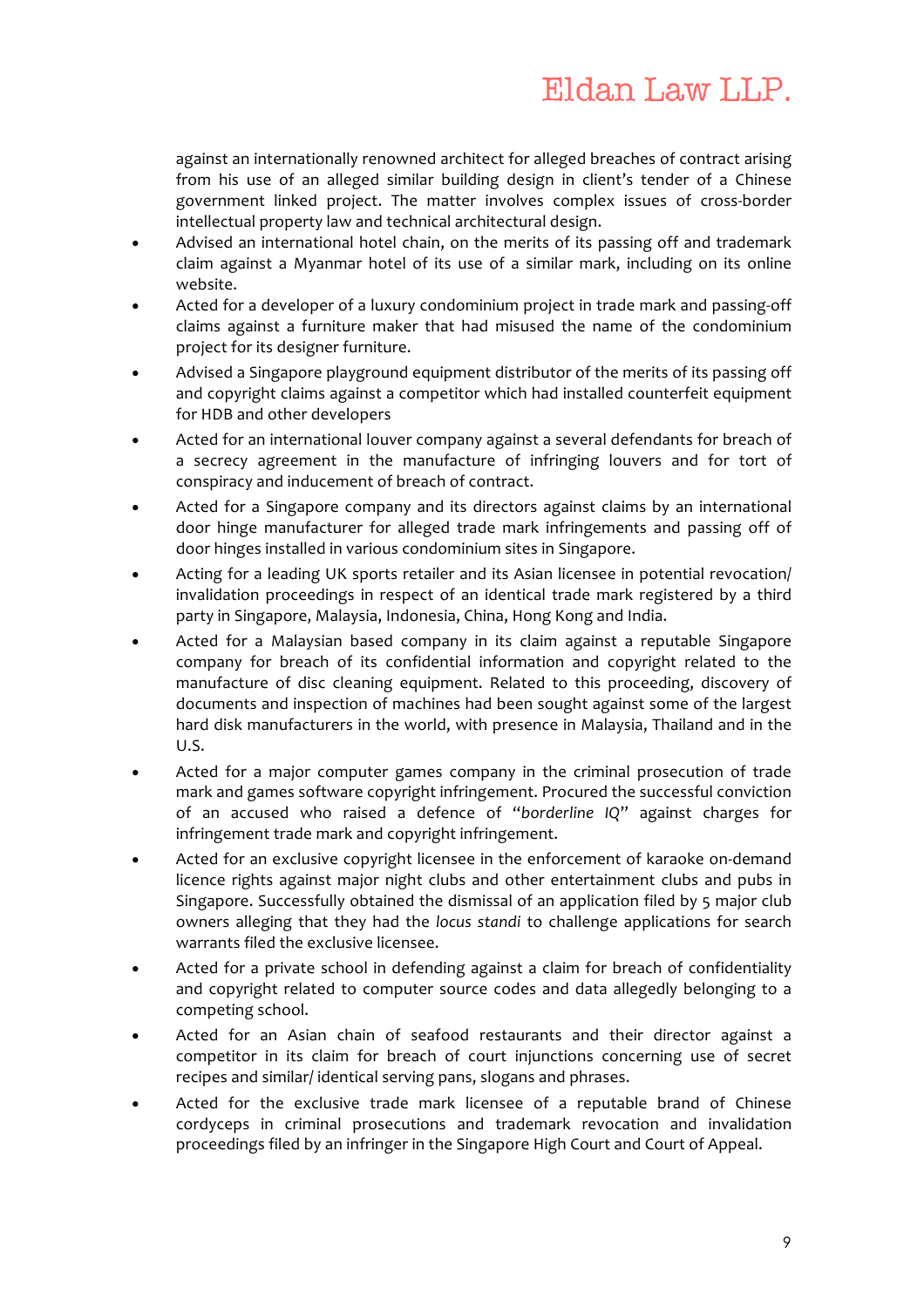against an internationally renowned architect for alleged breaches of contract arising from his use of an alleged similar building design in client's tender of a Chinese government linked project. The matter involves complex issues of cross-border intellectual property law and technical architectural design.

- Advised an international hotel chain, on the merits of its passing off and trademark claim against a Myanmar hotel of its use of a similar mark, including on its online website.
- Acted for a developer of a luxury condominium project in trade mark and passing-off claims against a furniture maker that had misused the name of the condominium project for its designer furniture.
- Advised a Singapore playground equipment distributor of the merits of its passing off and copyright claims against a competitor which had installed counterfeit equipment for HDB and other developers
- Acted for an international louver company against a several defendants for breach of a secrecy agreement in the manufacture of infringing louvers and for tort of conspiracy and inducement of breach of contract.
- Acted for a Singapore company and its directors against claims by an international door hinge manufacturer for alleged trade mark infringements and passing off of door hinges installed in various condominium sites in Singapore.
- Acting for a leading UK sports retailer and its Asian licensee in potential revocation/ invalidation proceedings in respect of an identical trade mark registered by a third party in Singapore, Malaysia, Indonesia, China, Hong Kong and India.
- Acted for a Malaysian based company in its claim against a reputable Singapore company for breach of its confidential information and copyright related to the manufacture of disc cleaning equipment. Related to this proceeding, discovery of documents and inspection of machines had been sought against some of the largest hard disk manufacturers in the world, with presence in Malaysia, Thailand and in the U.S.
- Acted for a major computer games company in the criminal prosecution of trade mark and games software copyright infringement. Procured the successful conviction of an accused who raised a defence of "*borderline IQ*" against charges for infringement trade mark and copyright infringement.
- Acted for an exclusive copyright licensee in the enforcement of karaoke on-demand licence rights against major night clubs and other entertainment clubs and pubs in Singapore. Successfully obtained the dismissal of an application filed by 5 major club owners alleging that they had the *locus standi* to challenge applications for search warrants filed the exclusive licensee.
- Acted for a private school in defending against a claim for breach of confidentiality and copyright related to computer source codes and data allegedly belonging to a competing school.
- Acted for an Asian chain of seafood restaurants and their director against a competitor in its claim for breach of court injunctions concerning use of secret recipes and similar/ identical serving pans, slogans and phrases.
- Acted for the exclusive trade mark licensee of a reputable brand of Chinese cordyceps in criminal prosecutions and trademark revocation and invalidation proceedings filed by an infringer in the Singapore High Court and Court of Appeal.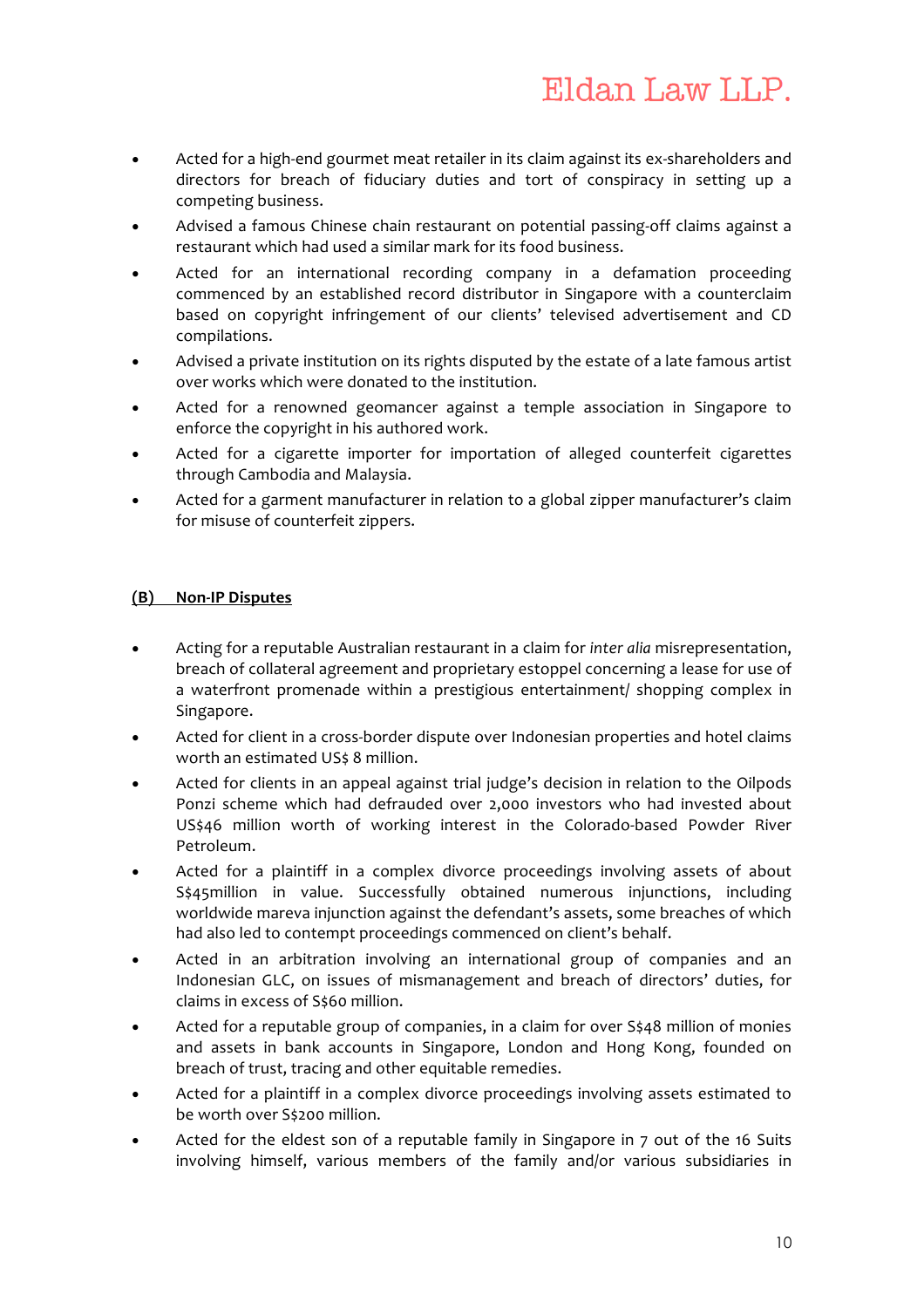- Acted for a high-end gourmet meat retailer in its claim against its ex-shareholders and directors for breach of fiduciary duties and tort of conspiracy in setting up a competing business.
- Advised a famous Chinese chain restaurant on potential passing-off claims against a restaurant which had used a similar mark for its food business.
- Acted for an international recording company in a defamation proceeding commenced by an established record distributor in Singapore with a counterclaim based on copyright infringement of our clients' televised advertisement and CD compilations.
- Advised a private institution on its rights disputed by the estate of a late famous artist over works which were donated to the institution.
- Acted for a renowned geomancer against a temple association in Singapore to enforce the copyright in his authored work.
- Acted for a cigarette importer for importation of alleged counterfeit cigarettes through Cambodia and Malaysia.
- Acted for a garment manufacturer in relation to a global zipper manufacturer's claim for misuse of counterfeit zippers.

#### **(B) Non-IP Disputes**

- Acting for a reputable Australian restaurant in a claim for *inter alia* misrepresentation, breach of collateral agreement and proprietary estoppel concerning a lease for use of a waterfront promenade within a prestigious entertainment/ shopping complex in Singapore.
- Acted for client in a cross-border dispute over Indonesian properties and hotel claims worth an estimated US\$ 8 million.
- Acted for clients in an appeal against trial judge's decision in relation to the Oilpods Ponzi scheme which had defrauded over 2,000 investors who had invested about US\$46 million worth of working interest in the Colorado-based Powder River Petroleum.
- Acted for a plaintiff in a complex divorce proceedings involving assets of about S\$45million in value. Successfully obtained numerous injunctions, including worldwide mareva injunction against the defendant's assets, some breaches of which had also led to contempt proceedings commenced on client's behalf.
- Acted in an arbitration involving an international group of companies and an Indonesian GLC, on issues of mismanagement and breach of directors' duties, for claims in excess of S\$60 million.
- Acted for a reputable group of companies, in a claim for over S\$48 million of monies and assets in bank accounts in Singapore, London and Hong Kong, founded on breach of trust, tracing and other equitable remedies.
- Acted for a plaintiff in a complex divorce proceedings involving assets estimated to be worth over S\$200 million.
- Acted for the eldest son of a reputable family in Singapore in 7 out of the 16 Suits involving himself, various members of the family and/or various subsidiaries in